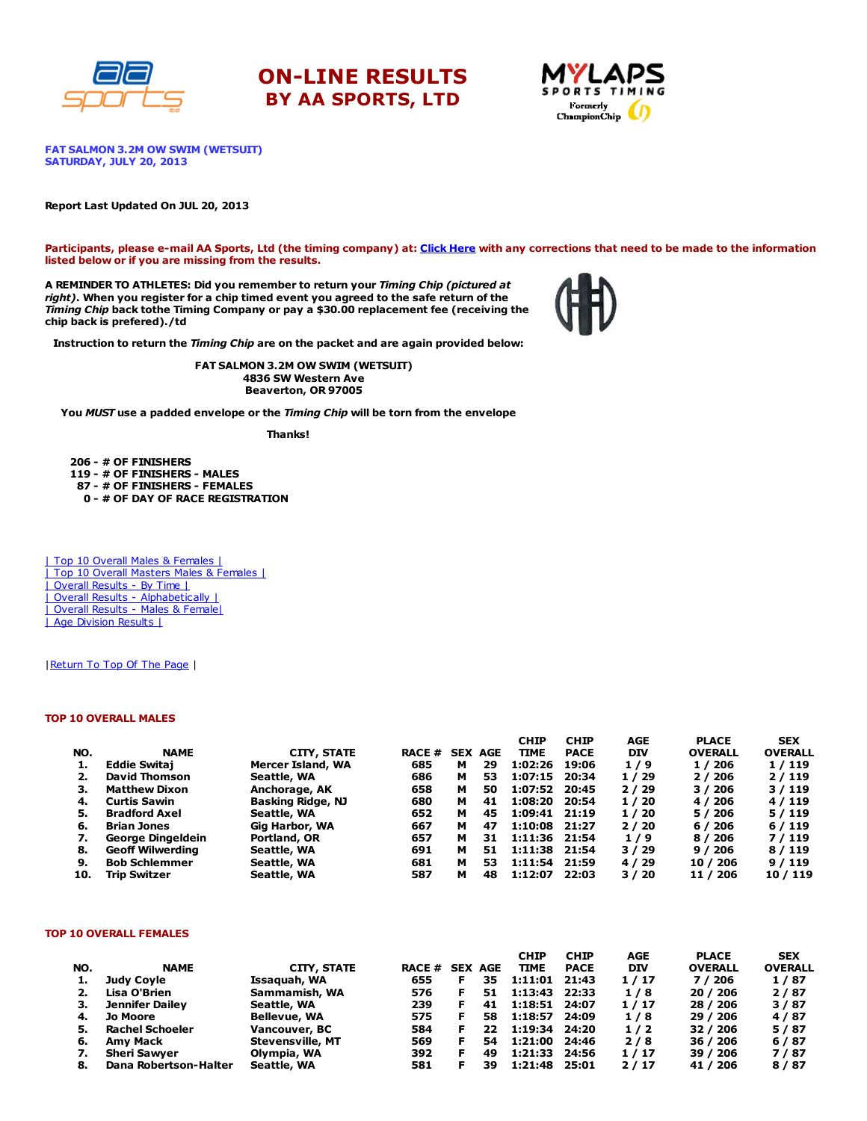





FAT SALMON 3.2M OW SWIM (WETSUIT) SATURDAY, JULY 20, 2013

#### Report Last Updated On JUL 20, 2013

Participants, please e-mail AA Sports, Ltd (the timing company) at: Click [Here](http://www.racecenter.com/aa-sports-results-inquiry/) with any corrections that need to be made to the information listed below or if you are missing from the results.

A REMINDER TO ATHLETES: Did you remember to return your Timing Chip (pictured at right). When you register for a chip timed event you agreed to the safe return of the Timing Chip back tothe Timing Company or pay a \$30.00 replacement fee (receiving the chip back is prefered)./td



Instruction to return the Timing Chip are on the packet and are again provided below:

FAT SALMON 3.2M OW SWIM (WETSUIT) 4836 SW Western Ave Beaverton, OR 97005

You MUST use a padded envelope or the Timing Chip will be torn from the envelope

Thanks!

 - # OF FINISHERS - # OF FINISHERS - MALES - # OF FINISHERS - FEMALES - # OF DAY OF RACE REGISTRATION

| Top 10 Overall Males & Females | | Top 10 Overall Masters Males & Females | | Overall Results - By Time | | Overall Results - [Alphabetically](http://www.racecenter.com/results/2013/res_s4al13.htm) | | Overall Results - Males & [Female|](http://www.racecenter.com/results/2013/res_s4og13.htm) | Age [Division](http://www.racecenter.com/results/2013/res_s4ag13.htm) Results |

| Return To Top Of The Page |

### TOP 10 OVERALL MALES

|     |                         |                          |               |   |                | <b>CHIP</b>   | <b>CHIP</b> | AGE        | <b>PLACE</b>   | <b>SEX</b>     |
|-----|-------------------------|--------------------------|---------------|---|----------------|---------------|-------------|------------|----------------|----------------|
| NO. | <b>NAME</b>             | CITY, STATE              | <b>RACE #</b> |   | <b>SEX AGE</b> | <b>TIME</b>   | <b>PACE</b> | <b>DIV</b> | <b>OVERALL</b> | <b>OVERALL</b> |
| 1.  | <b>Eddie Switai</b>     | Mercer Island, WA        | 685           | м | 29             | 1:02:26       | 19:06       | 1/9        | 1 / 206        | 1/119          |
| 2.  | <b>David Thomson</b>    | Seattle, WA              | 686           | м | 53             | 1:07:15       | 20:34       | 1/29       | 2/206          | 2/119          |
| З.  | <b>Matthew Dixon</b>    | Anchorage, AK            | 658           | м | 50             | 1:07:52       | 20:45       | 2/29       | 3/206          | 3/119          |
| 4.  | <b>Curtis Sawin</b>     | <b>Basking Ridge, NJ</b> | 680           | м | 41             | 1:08:20       | 20:54       | 1/20       | 4 / 206        | 4/119          |
| 5.  | <b>Bradford Axel</b>    | Seattle, WA              | 652           | м | 45             | 1:09:41 21:19 |             | 1/20       | 5 / 206        | 5/119          |
| 6.  | <b>Brian Jones</b>      | Gig Harbor, WA           | 667           | м | 47             | 1:10:08       | 21:27       | 2/20       | 6/206          | 6/119          |
| 7.  | George Dingeldein       | Portland, OR             | 657           | м | 31             | 1:11:36 21:54 |             | 1/9        | 8 / 206        | 7/119          |
| 8.  | <b>Geoff Wilwerding</b> | Seattle, WA              | 691           | м | 51             | 1:11:38       | 21:54       | 3/29       | 9/206          | 8/119          |
| 9.  | <b>Bob Schlemmer</b>    | Seattle, WA              | 681           | м | 53             | 1:11:54       | 21:59       | 4/29       | 10 / 206       | 9/119          |
| 10. | <b>Trip Switzer</b>     | Seattle, WA              | 587           | м | 48             | 1:12:07       | 22:03       | 3/20       | 11 / 206       | 10 / 119       |

#### TOP 10 OVERALL FEMALES

|     |                        |                         |                       |    | <b>CHIP</b> | <b>CHIP</b> | AGE        | <b>PLACE</b>   | <b>SEX</b>     |
|-----|------------------------|-------------------------|-----------------------|----|-------------|-------------|------------|----------------|----------------|
| NO. | <b>NAME</b>            | CITY, STATE             | <b>RACE # SEX AGE</b> |    | <b>TIME</b> | <b>PACE</b> | <b>DIV</b> | <b>OVERALL</b> | <b>OVERALL</b> |
| 1.  | Judy Covle             | Issaquah, WA            | 655                   | 35 | 1:11:01     | 21:43       | 1/17       | 7 / 206        | 1/87           |
| 2.  | Lisa O'Brien           | Sammamish, WA           | 576                   | 51 | 1:13:43     | 22:33       | 1/8        | 20 / 206       | 2/87           |
| з.  | Jennifer Dailey        | Seattle, WA             | 239                   | 41 | 1:18:51     | 24:07       | 1/17       | 28 / 206       | 3/87           |
| 4.  | <b>Jo Moore</b>        | <b>Bellevue, WA</b>     | 575                   | 58 | 1:18:57     | 24:09       | 1/8        | 29 / 206       | 4/87           |
| 5.  | <b>Rachel Schoeler</b> | Vancouver, BC           | 584                   | 22 | 1:19:34     | 24:20       | 1/2        | 32 / 206       | 5/87           |
| 6.  | Amv Mack               | <b>Stevensville, MT</b> | 569                   | 54 | 1:21:00     | 24:46       | 2/8        | 36 / 206       | 6/87           |
|     | <b>Sheri Sawyer</b>    | Olympia, WA             | 392                   | 49 | 1:21:33     | 24:56       | 1/17       | 39 / 206       | 7/87           |
| 8.  | Dana Robertson-Halter  | Seattle, WA             | 581                   | 39 | 1:21:48     | 25:01       | 2/17       | 41 / 206       | 8/87           |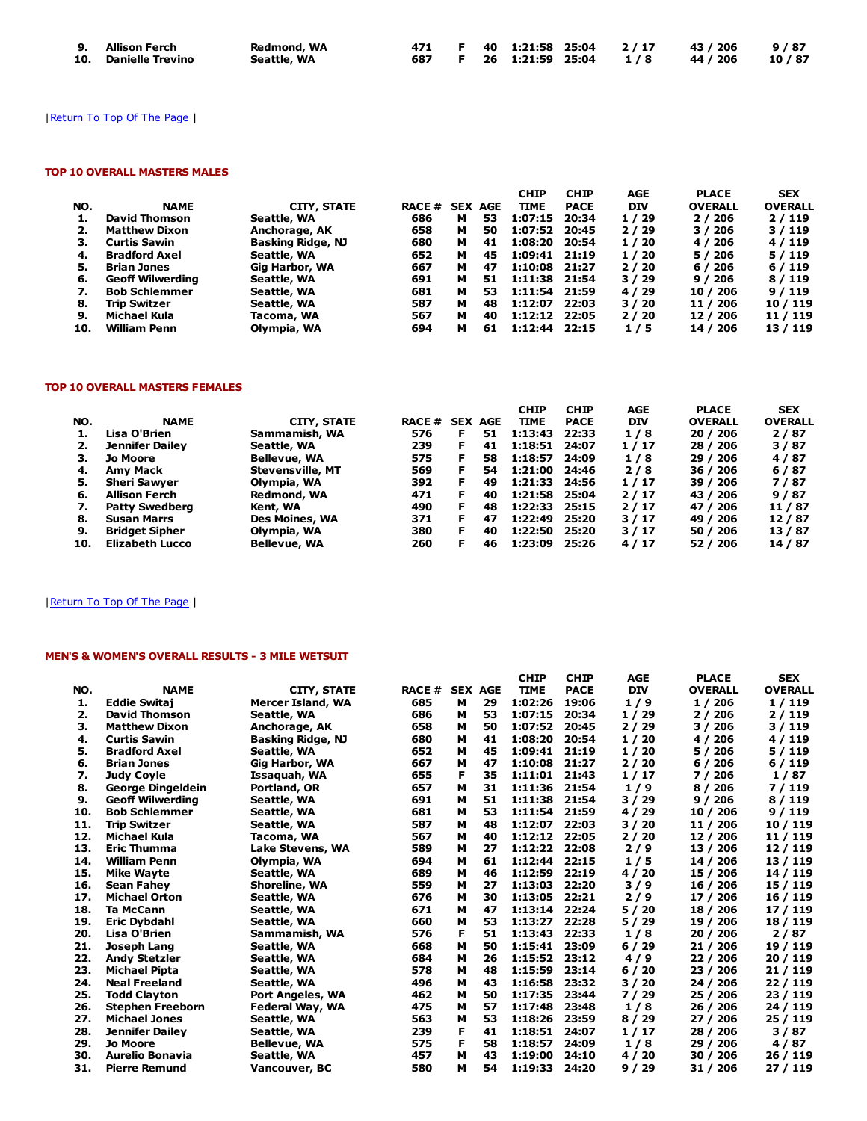| 9. Allison Ferch     | Redmond, WA |  |  |  | 471 F 40 1:21:58 25:04 2/17 43/206 9/87 |  |
|----------------------|-------------|--|--|--|-----------------------------------------|--|
| 10. Danielle Trevino | Seattle, WA |  |  |  | 687 F 26 1:21:59 25:04 1/8 44/206 10/87 |  |

# | Return To Top Of The Page |

## TOP 10 OVERALL MASTERS MALES

|     |                         |                    |               |   |                | <b>CHIP</b>     | <b>CHIP</b> | AGE        | <b>PLACE</b>   | <b>SEX</b>     |
|-----|-------------------------|--------------------|---------------|---|----------------|-----------------|-------------|------------|----------------|----------------|
| NO. | <b>NAME</b>             | <b>CITY, STATE</b> | <b>RACE #</b> |   | <b>SEX AGE</b> | <b>TIME</b>     | <b>PACE</b> | <b>DIV</b> | <b>OVERALL</b> | <b>OVERALL</b> |
|     | David Thomson           | Seattle, WA        | 686           | м | 53             | 1:07:15         | 20:34       | 1/29       | 2/206          | 2/119          |
| 2.  | <b>Matthew Dixon</b>    | Anchorage, AK      | 658           | м | 50             | 1:07:52         | 20:45       | 2/29       | 3 / 206        | 3/119          |
| з.  | <b>Curtis Sawin</b>     | Basking Ridge, NJ  | 680           | м | 41             | 1:08:20         | 20:54       | 1/20       | 4 / 206        | 4/119          |
| 4.  | <b>Bradford Axel</b>    | Seattle, WA        | 652           | м | 45             | 1:09:41 21:19   |             | 1/20       | 5/206          | 5/119          |
| 5.  | <b>Brian Jones</b>      | Gig Harbor, WA     | 667           | м | 47             | $1:10:08$ 21:27 |             | 2/20       | 6/206          | 6/119          |
| 6.  | <b>Geoff Wilwerding</b> | Seattle, WA        | 691           | м | 51             | 1:11:38 21:54   |             | 3/29       | 9/206          | 8/119          |
| 7.  | <b>Bob Schlemmer</b>    | Seattle, WA        | 681           | м | 53             | 1:11:54 21:59   |             | 4 / 29     | 10 / 206       | 9/119          |
| 8.  | <b>Trip Switzer</b>     | Seattle, WA        | 587           | м | 48             | 1:12:07         | 22:03       | 3/20       | 11 / 206       | 10 / 119       |
| 9.  | Michael Kula            | Tacoma, WA         | 567           | м | 40             | 1:12:12 22:05   |             | 2/20       | 12 / 206       | 11 / 119       |
| 10. | <b>William Penn</b>     | Olympia, WA        | 694           | м | 61             | 1:12:44         | 22:15       | 1/5        | 14 / 206       | 13 / 119       |

## TOP 10 OVERALL MASTERS FEMALES

|     |                        |                         |                |    |    | <b>CHIP</b>   | <b>CHIP</b> | AGE        | <b>PLACE</b>   | <b>SEX</b>     |
|-----|------------------------|-------------------------|----------------|----|----|---------------|-------------|------------|----------------|----------------|
| NO. | <b>NAME</b>            | CITY, STATE             | RACE # SEX AGE |    |    | <b>TIME</b>   | <b>PACE</b> | <b>DIV</b> | <b>OVERALL</b> | <b>OVERALL</b> |
| 1.  | Lisa O'Brien           | Sammamish, WA           | 576            | F  | 51 | 1:13:43       | 22:33       | 1/8        | 20 / 206       | 2/87           |
| 2.  | <b>Jennifer Dailey</b> | Seattle, WA             | 239            | F  | 41 | 1:18:51       | 24:07       | 1/17       | 28 / 206       | 3/87           |
| з.  | Jo Moore               | <b>Bellevue, WA</b>     | 575            |    | 58 | 1:18:57       | 24:09       | 1/8        | 29 / 206       | 4/87           |
| 4.  | <b>Amv Mack</b>        | <b>Stevensville, MT</b> | 569            | F. | 54 | 1:21:00       | 24:46       | 2/8        | 36 / 206       | 6/87           |
| 5.  | <b>Sheri Sawver</b>    | Olympia, WA             | 392            | F  | 49 | 1:21:33 24:56 |             | 1/17       | 39 / 206       | 7/87           |
| 6.  | Allison Ferch          | Redmond, WA             | 471            | F  | 40 | 1:21:58 25:04 |             | 2/17       | 43 / 206       | 9/87           |
| 7.  | <b>Patty Swedberg</b>  | Kent, WA                | 490            | F  | 48 | 1:22:33       | 25:15       | 2/17       | 47 / 206       | 11 / 87        |
| 8.  | <b>Susan Marrs</b>     | <b>Des Moines, WA</b>   | 371            | F  | 47 | 1:22:49       | 25:20       | 3/17       | 49 / 206       | 12/87          |
| 9.  | <b>Bridget Sipher</b>  | Olympia, WA             | 380            | F  | 40 | 1:22:50       | 25:20       | 3/17       | 50 / 206       | 13/87          |
| 10. | <b>Elizabeth Lucco</b> | <b>Bellevue, WA</b>     | 260            | F  | 46 | 1:23:09       | 25:26       | 4/17       | 52 / 206       | 14 / 87        |

# | Return To Top Of The Page |

# MEN'S & WOMEN'S OVERALL RESULTS - 3 MILE WETSUIT

|     |                         |                          |              |   |                | <b>CHIP</b> | <b>CHIP</b> | <b>AGE</b> | <b>PLACE</b>   | <b>SEX</b>     |
|-----|-------------------------|--------------------------|--------------|---|----------------|-------------|-------------|------------|----------------|----------------|
| NO. | <b>NAME</b>             | <b>CITY, STATE</b>       | <b>RACE#</b> |   | <b>SEX AGE</b> | <b>TIME</b> | <b>PACE</b> | <b>DIV</b> | <b>OVERALL</b> | <b>OVERALL</b> |
| 1.  | <b>Eddie Switai</b>     | <b>Mercer Island, WA</b> | 685          | м | 29             | 1:02:26     | 19:06       | 1/9        | 1/206          | 1/119          |
| 2.  | <b>David Thomson</b>    | Seattle, WA              | 686          | м | 53             | 1:07:15     | 20:34       | 1/29       | 2/206          | 2/119          |
| з.  | <b>Matthew Dixon</b>    | Anchorage, AK            | 658          | м | 50             | 1:07:52     | 20:45       | 2/29       | 3 / 206        | 3/119          |
| 4.  | <b>Curtis Sawin</b>     | Basking Ridge, NJ        | 680          | м | 41             | 1:08:20     | 20:54       | 1/20       | 4 / 206        | 4/119          |
| 5.  | <b>Bradford Axel</b>    | Seattle, WA              | 652          | м | 45             | 1:09:41     | 21:19       | 1/20       | 5/206          | 5/119          |
| 6.  | <b>Brian Jones</b>      | Gig Harbor, WA           | 667          | м | 47             | 1:10:08     | 21:27       | 2/20       | 6/206          | 6/119          |
| 7.  | <b>Judy Coyle</b>       | Issaquah, WA             | 655          | F | 35             | 1:11:01     | 21:43       | 1/17       | 7 / 206        | 1/87           |
| 8.  | George Dingeldein       | Portland, OR             | 657          | м | 31             | 1:11:36     | 21:54       | 1/9        | 8 / 206        | 7 / 119        |
| 9.  | <b>Geoff Wilwerding</b> | Seattle, WA              | 691          | м | 51             | 1:11:38     | 21:54       | 3/29       | 9/206          | 8/119          |
| 10. | <b>Bob Schlemmer</b>    | Seattle, WA              | 681          | м | 53             | 1:11:54     | 21:59       | 4 / 29     | 10 / 206       | 9/119          |
| 11. | Trip Switzer            | Seattle, WA              | 587          | м | 48             | 1:12:07     | 22:03       | 3/20       | 11 / 206       | 10 / 119       |
| 12. | Michael Kula            | Tacoma, WA               | 567          | м | 40             | 1:12:12     | 22:05       | 2/20       | 12 / 206       | 11 / 119       |
| 13. | <b>Eric Thumma</b>      | Lake Stevens, WA         | 589          | м | 27             | 1:12:22     | 22:08       | 2/9        | 13 / 206       | 12/119         |
| 14. | <b>William Penn</b>     | Olympia, WA              | 694          | м | 61             | 1:12:44     | 22:15       | 1/5        | 14 / 206       | 13 / 119       |
| 15. | <b>Mike Wavte</b>       | Seattle, WA              | 689          | М | 46             | 1:12:59     | 22:19       | 4 / 20     | 15 / 206       | 14 / 119       |
| 16. | <b>Sean Fahev</b>       | Shoreline, WA            | 559          | м | 27             | 1:13:03     | 22:20       | 3/9        | 16 / 206       | 15 / 119       |
| 17. | <b>Michael Orton</b>    | Seattle, WA              | 676          | м | 30             | 1:13:05     | 22:21       | 2/9        | 17 / 206       | 16 / 119       |
| 18. | <b>Ta McCann</b>        | Seattle, WA              | 671          | м | 47             | 1:13:14     | 22:24       | 5/20       | 18 / 206       | 17 / 119       |
| 19. | Eric Dybdahl            | Seattle, WA              | 660          | м | 53             | 1:13:27     | 22:28       | 5/29       | 19 / 206       | 18 / 119       |
| 20. | Lisa O'Brien            | Sammamish, WA            | 576          | F | 51             | 1:13:43     | 22:33       | 1/8        | 20 / 206       | 2/87           |
| 21. | Joseph Lang             | Seattle, WA              | 668          | M | 50             | 1:15:41     | 23:09       | 6/29       | 21 / 206       | 19 / 119       |
| 22. | <b>Andy Stetzler</b>    | Seattle, WA              | 684          | м | 26             | 1:15:52     | 23:12       | 4/9        | 22 / 206       | 20 / 119       |
| 23. | <b>Michael Pipta</b>    | Seattle, WA              | 578          | м | 48             | 1:15:59     | 23:14       | 6/20       | 23 / 206       | 21 / 119       |
| 24. | <b>Neal Freeland</b>    | Seattle, WA              | 496          | м | 43             | 1:16:58     | 23:32       | 3/20       | 24 / 206       | 22 / 119       |
| 25. | <b>Todd Clayton</b>     | Port Angeles, WA         | 462          | м | 50             | 1:17:35     | 23:44       | 7 / 29     | 25 / 206       | 23 / 119       |
| 26. | <b>Stephen Freeborn</b> | Federal Way, WA          | 475          | м | 57             | 1:17:48     | 23:48       | 1/8        | 26 / 206       | 24 / 119       |
| 27. | <b>Michael Jones</b>    | Seattle, WA              | 563          | М | 53             | 1:18:26     | 23:59       | 8/29       | 27 / 206       | 25 / 119       |
| 28. | <b>Jennifer Dailey</b>  | Seattle, WA              | 239          | F | 41             | 1:18:51     | 24:07       | 1/17       | 28 / 206       | 3/87           |
| 29. | <b>Jo Moore</b>         | <b>Bellevue, WA</b>      | 575          | F | 58             | 1:18:57     | 24:09       | 1/8        | 29 / 206       | 4/87           |
| 30. | <b>Aurelio Bonavia</b>  | Seattle, WA              | 457          | м | 43             | 1:19:00     | 24:10       | 4/20       | 30 / 206       | 26 / 119       |
| 31. | <b>Pierre Remund</b>    | Vancouver, BC            | 580          | М | 54             | 1:19:33     | 24:20       | 9/29       | 31 / 206       | 27 / 119       |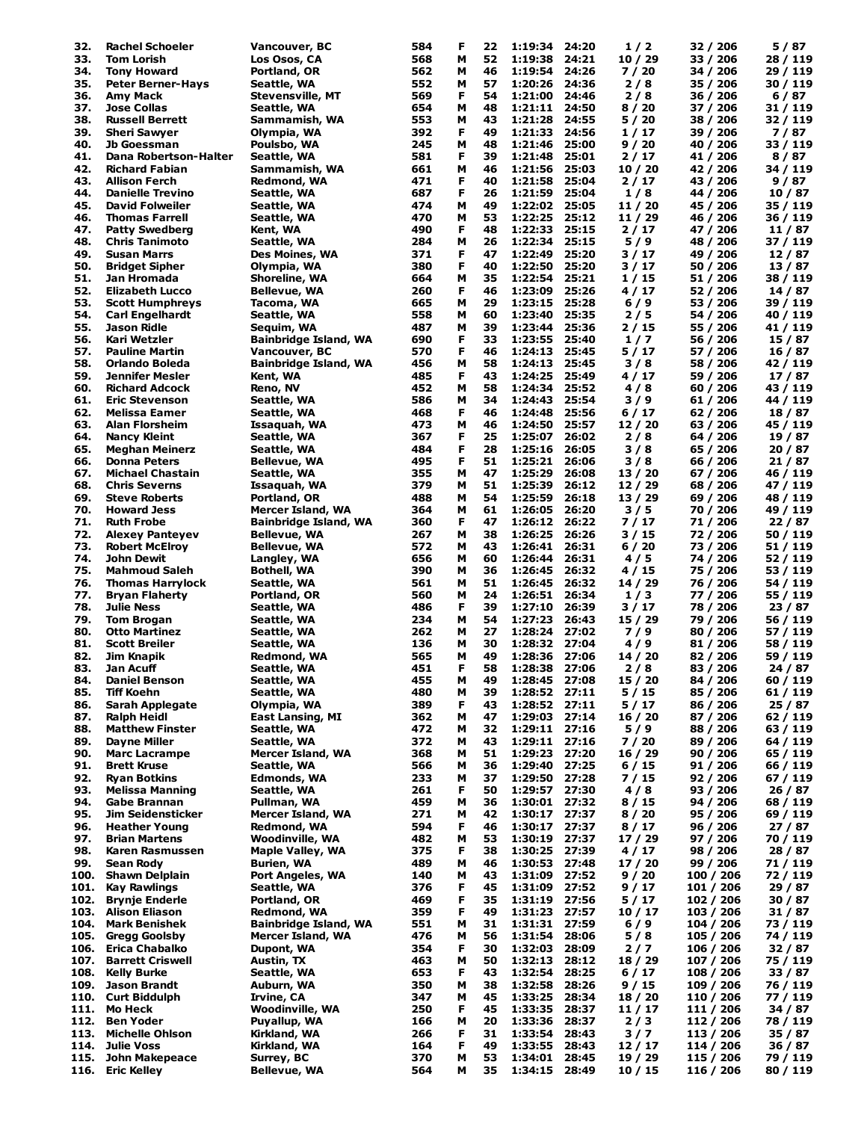| 32.  | <b>Rachel Schoeler</b>                         | Vancouver, BC           | 584 | F | 22 | 1:19:34            | 24:20 | 1/2     | 32 / 206  | 5 / 87   |
|------|------------------------------------------------|-------------------------|-----|---|----|--------------------|-------|---------|-----------|----------|
| 33.  | <b>Tom Lorish</b>                              | Los Osos, CA            | 568 | м | 52 | 1:19:38            | 24:21 | 10/29   | 33 / 206  | 28 / 119 |
| 34.  | <b>Tony Howard</b>                             | Portland, OR            | 562 | м | 46 | 1:19:54            | 24:26 | 7/20    | 34 / 206  | 29 / 119 |
| 35.  | <b>Peter Berner-Hays</b>                       | Seattle, WA             | 552 | м | 57 | 1:20:26            | 24:36 | 2/8     | 35 / 206  | 30 / 119 |
| 36.  |                                                |                         |     | F | 54 |                    | 24:46 |         |           |          |
|      | Amy Mack                                       | <b>Stevensville, MT</b> | 569 |   |    | 1:21:00            |       | 2/8     | 36 / 206  | 6/87     |
| 37.  | <b>Jose Collas</b>                             | Seattle, WA             | 654 | м | 48 | 1:21:11            | 24:50 | 8/20    | 37 / 206  | 31 / 119 |
| 38.  | <b>Russell Berrett</b>                         | Sammamish, WA           | 553 | м | 43 | 1:21:28            | 24:55 | 5/20    | 38 / 206  | 32 / 119 |
| 39.  | <b>Sheri Sawyer</b>                            | Olympia, WA             | 392 | F | 49 | 1:21:33            | 24:56 | 1/17    | 39 / 206  | 7/87     |
| 40.  | Jb Goessman                                    | Poulsbo, WA             | 245 | м | 48 | 1:21:46            | 25:00 | 9/20    | 40 / 206  | 33 / 119 |
| 41.  | Dana Robertson-Halter                          | Seattle, WA             | 581 | F | 39 | 1:21:48            | 25:01 | 2/17    | 41 / 206  | 8 / 87   |
| 42.  | <b>Richard Fabian</b>                          | Sammamish, WA           | 661 | м | 46 | 1:21:56            | 25:03 | 10/20   | 42 / 206  | 34 / 119 |
| 43.  | <b>Allison Ferch</b>                           | Redmond, WA             | 471 | F | 40 | 1:21:58            | 25:04 | 2/17    | 43 / 206  | 9 / 87   |
| 44.  | <b>Danielle Trevino</b>                        | Seattle, WA             | 687 | F | 26 | 1:21:59            | 25:04 | 1/8     | 44 / 206  | 10 / 87  |
| 45.  | David Folweiler                                | Seattle, WA             | 474 | М | 49 | 1:22:02            | 25:05 | 11 / 20 | 45 / 206  | 35 / 119 |
| 46.  | <b>Thomas Farrell</b>                          | Seattle, WA             | 470 | М | 53 | 1:22:25            | 25:12 | 11 / 29 | 46 / 206  | 36 / 119 |
| 47.  | <b>Patty Swedberg</b>                          | Kent, WA                | 490 | F | 48 | 1:22:33            | 25:15 | 2/17    | 47 / 206  | 11 / 87  |
| 48.  | <b>Chris Tanimoto</b>                          | Seattle, WA             | 284 | м | 26 | 1:22:34            | 25:15 | 5/9     | 48 / 206  | 37 / 119 |
| 49.  | <b>Susan Marrs</b>                             | Des Moines, WA          | 371 | F | 47 | 1:22:49            | 25:20 | 3/17    | 49 / 206  | 12/87    |
|      |                                                |                         |     |   |    |                    |       |         |           |          |
| 50.  | <b>Bridget Sipher</b>                          | Olympia, WA             | 380 | F | 40 | 1:22:50            | 25:20 | 3/17    | 50 / 206  | 13/87    |
| 51.  | Jan Hromada                                    | Shoreline, WA           | 664 | м | 35 | 1:22:54            | 25:21 | 1/15    | 51 / 206  | 38 / 119 |
| 52.  | <b>Elizabeth Lucco</b>                         | Bellevue, WA            | 260 | F | 46 | 1:23:09            | 25:26 | 4/17    | 52 / 206  | 14 / 87  |
| 53.  | <b>Scott Humphreys</b>                         | Tacoma, WA              | 665 | м | 29 | 1:23:15            | 25:28 | $6/9$   | 53 / 206  | 39 / 119 |
| 54.  | <b>Carl Engelhardt</b>                         | Seattle, WA             | 558 | М | 60 | 1:23:40            | 25:35 | 2/5     | 54 / 206  | 40 / 119 |
| 55.  | Jason Ridle                                    | Seguim, WA              | 487 | м | 39 | 1:23:44            | 25:36 | 2 / 15  | 55 / 206  | 41 / 119 |
| 56.  | Kari Wetzler                                   | Bainbridge Island, WA   | 690 | F | 33 | 1:23:55            | 25:40 | 1/7     | 56 / 206  | 15 / 87  |
| 57.  | <b>Pauline Martin</b>                          | Vancouver, BC           | 570 | F | 46 | 1:24:13            | 25:45 | 5/17    | 57 / 206  | 16/87    |
| 58.  | Orlando Boleda                                 | Bainbridge Island, WA   | 456 | м | 58 | 1:24:13            | 25:45 | 3/8     | 58 / 206  | 42 / 119 |
| 59.  | Jennifer Mesler                                |                         | 485 | F | 43 | 1:24:25            | 25:49 | 4/17    | 59 / 206  | 17/87    |
|      |                                                | Kent, WA                |     |   |    |                    |       |         | 60 / 206  |          |
| 60.  | <b>Richard Adcock</b><br><b>Eric Stevenson</b> | Reno, NV                | 452 | м | 58 | 1:24:34<br>1:24:43 | 25:52 | 4/8     |           | 43 / 119 |
| 61.  |                                                | Seattle, WA             | 586 | М | 34 |                    | 25:54 | 3/9     | 61 / 206  | 44 / 119 |
| 62.  | Melissa Eamer                                  | Seattle, WA             | 468 | F | 46 | 1:24:48            | 25:56 | 6/17    | 62 / 206  | 18 / 87  |
| 63.  | <b>Alan Florsheim</b>                          | Issaquah, WA            | 473 | м | 46 | 1:24:50            | 25:57 | 12/20   | 63 / 206  | 45 / 119 |
| 64.  | <b>Nancy Kleint</b>                            | Seattle, WA             | 367 | F | 25 | 1:25:07            | 26:02 | 2/8     | 64 / 206  | 19/87    |
| 65.  | <b>Meghan Meinerz</b>                          | Seattle, WA             | 484 | F | 28 | 1:25:16            | 26:05 | 3/8     | 65 / 206  | 20 / 87  |
| 66.  | <b>Donna Peters</b>                            | Bellevue, WA            | 495 | F | 51 | 1:25:21            | 26:06 | 3/8     | 66 / 206  | 21 / 87  |
| 67.  | <b>Michael Chastain</b>                        | Seattle, WA             | 355 | м | 47 | 1:25:29            | 26:08 | 13 / 20 | 67 / 206  | 46 / 119 |
| 68.  | <b>Chris Severns</b>                           | Issaquah, WA            | 379 | М | 51 | 1:25:39            | 26:12 | 12/29   | 68 / 206  | 47 / 119 |
| 69.  | <b>Steve Roberts</b>                           | Portland, OR            | 488 | м | 54 | 1:25:59            | 26:18 | 13 / 29 | 69 / 206  | 48 / 119 |
| 70.  | <b>Howard Jess</b>                             | Mercer Island, WA       | 364 | м | 61 | 1:26:05            | 26:20 | 3/5     | 70 / 206  | 49 / 119 |
| 71.  | <b>Ruth Frobe</b>                              | Bainbridge Island, WA   | 360 | F | 47 | 1:26:12            | 26:22 | 7/17    | 71 / 206  | 22 / 87  |
|      |                                                |                         |     |   |    |                    |       |         |           |          |
| 72.  | <b>Alexey Panteyev</b>                         | Bellevue, WA            | 267 | м | 38 | 1:26:25            | 26:26 | 3/15    | 72 / 206  | 50 / 119 |
| 73.  | <b>Robert McElroy</b>                          | Bellevue, WA            | 572 | м | 43 | 1:26:41            | 26:31 | 6/20    | 73 / 206  | 51 / 119 |
| 74.  | John Dewit                                     | Langley, WA             | 656 | м | 60 | 1:26:44            | 26:31 | 4/5     | 74 / 206  | 52 / 119 |
| 75.  | <b>Mahmoud Saleh</b>                           | Bothell, WA             | 390 | м | 36 | 1:26:45            | 26:32 | 4/15    | 75 / 206  | 53 / 119 |
| 76.  | <b>Thomas Harrylock</b>                        | Seattle, WA             | 561 | м | 51 | 1:26:45            | 26:32 | 14 / 29 | 76 / 206  | 54 / 119 |
| 77.  | <b>Bryan Flaherty</b>                          | Portland, OR            | 560 | М | 24 | 1:26:51            | 26:34 | 1/3     | 77 / 206  | 55 / 119 |
| 78.  | Julie Ness                                     | Seattle, WA             | 486 | F | 39 | 1:27:10            | 26:39 | 3/17    | 78 / 206  | 23 / 87  |
| 79.  | <b>Tom Brogan</b>                              | Seattle, WA             | 234 | м | 54 | 1:27:23            | 26:43 | 15 / 29 | 79 / 206  | 56 / 119 |
| 80.  | <b>Otto Martinez</b>                           | Seattle, WA             | 262 | м | 27 | 1:28:24            | 27:02 | 7/9     | 80 / 206  | 57 / 119 |
| 81.  | <b>Scott Breiler</b>                           | Seattle, WA             | 136 | м | 30 | 1:28:32            | 27:04 | 4/9     | 81 / 206  | 58 / 119 |
| 82.  | Jim Knapik                                     | Redmond, WA             | 565 | м | 49 | 1:28:36            | 27:06 | 14/20   | 82 / 206  | 59 / 119 |
| 83.  | Jan Acuff                                      |                         | 451 | F | 58 | 1:28:38            | 27:06 |         |           | 24 / 87  |
|      |                                                | Seattle, WA             |     |   |    |                    |       | 2/8     | 83 / 206  |          |
| 84.  | <b>Daniel Benson</b>                           | Seattle, WA             | 455 | М | 49 | 1:28:45            | 27:08 | 15 / 20 | 84 / 206  | 60 / 119 |
| 85.  | Tiff Koehn                                     | Seattle, WA             | 480 | м | 39 | 1:28:52 27:11      |       | 5/15    | 85 / 206  | 61 / 119 |
| 86.  | <b>Sarah Applegate</b>                         | Olympia, WA             | 389 | Е | 43 | 1:28:52 27:11      |       | 5/17    | 86 / 206  | 25 / 87  |
| 87.  | <b>Ralph Heidl</b>                             | East Lansing, MI        | 362 | м | 47 | 1:29:03 27:14      |       | 16 / 20 | 87 / 206  | 62 / 119 |
| 88.  | <b>Matthew Finster</b>                         | Seattle, WA             | 472 | м | 32 | 1:29:11 27:16      |       | 5/9     | 88 / 206  | 63 / 119 |
| 89.  | Dayne Miller                                   | Seattle, WA             | 372 | м | 43 | 1:29:11 27:16      |       | 7/20    | 89 / 206  | 64 / 119 |
| 90.  | <b>Marc Lacrampe</b>                           | Mercer Island, WA       | 368 | м | 51 | 1:29:23            | 27:20 | 16/29   | 90 / 206  | 65 / 119 |
| 91.  | <b>Brett Kruse</b>                             | Seattle, WA             | 566 | м | 36 | 1:29:40            | 27:25 | 6/15    | 91 / 206  | 66 / 119 |
| 92.  | <b>Ryan Botkins</b>                            | Edmonds, WA             | 233 | м | 37 | 1:29:50            | 27:28 | 7 / 15  | 92 / 206  | 67 / 119 |
| 93.  | <b>Melissa Manning</b>                         | Seattle, WA             | 261 | F | 50 | 1:29:57            | 27:30 | 4/8     | 93 / 206  | 26 / 87  |
| 94.  | <b>Gabe Brannan</b>                            | Pullman, WA             | 459 | м | 36 | 1:30:01 27:32      |       | 8/15    | 94 / 206  | 68 / 119 |
| 95.  | Jim Seidensticker                              | Mercer Island, WA       | 271 | м | 42 | 1:30:17            | 27:37 | 8/20    | 95 / 206  | 69 / 119 |
| 96.  | <b>Heather Young</b>                           | Redmond, WA             | 594 | F | 46 | 1:30:17            | 27:37 | 8/17    | 96 / 206  | 27/87    |
| 97.  | <b>Brian Martens</b>                           | Woodinville, WA         | 482 | м | 53 | 1:30:19            | 27:37 | 17/29   | 97 / 206  | 70 / 119 |
| 98.  | Karen Rasmussen                                | <b>Maple Valley, WA</b> | 375 | F | 38 |                    | 27:39 | 4/17    | 98 / 206  | 28/87    |
|      |                                                |                         |     |   |    | 1:30:25            |       |         |           |          |
| 99.  | Sean Rody                                      | Burien, WA              | 489 | м | 46 | 1:30:53            | 27:48 | 17/20   | 99 / 206  | 71 / 119 |
| 100. | <b>Shawn Delplain</b>                          | Port Angeles, WA        | 140 | м | 43 | 1:31:09            | 27:52 | 9/20    | 100 / 206 | 72 / 119 |
| 101. | <b>Kay Rawlings</b>                            | Seattle, WA             | 376 | F | 45 | 1:31:09 27:52      |       | 9/17    | 101 / 206 | 29/87    |
| 102. | <b>Brynje Enderle</b>                          | Portland, OR            | 469 | F | 35 | 1:31:19 27:56      |       | 5/17    | 102 / 206 | 30/87    |
| 103. | <b>Alison Eliason</b>                          | Redmond, WA             | 359 | F | 49 | 1:31:23 27:57      |       | 10 / 17 | 103 / 206 | 31/87    |
| 104. | <b>Mark Benishek</b>                           | Bainbridge Island, WA   | 551 | м | 31 | 1:31:31            | 27:59 | $6/9$   | 104 / 206 | 73 / 119 |
| 105. | <b>Gregg Goolsby</b>                           | Mercer Island, WA       | 476 | м | 56 | 1:31:54            | 28:06 | 5/8     | 105 / 206 | 74 / 119 |
| 106. | <b>Erica Chabalko</b>                          | Dupont, WA              | 354 | F | 30 | 1:32:03            | 28:09 | $2/7$   | 106 / 206 | 32/87    |
| 107. | <b>Barrett Criswell</b>                        | Austin, TX              | 463 | м | 50 | 1:32:13            | 28:12 | 18 / 29 | 107 / 206 | 75 / 119 |
| 108. | <b>Kelly Burke</b>                             | Seattle, WA             | 653 | F | 43 | 1:32:54            | 28:25 | 6/17    | 108 / 206 | 33 / 87  |
| 109. | <b>Jason Brandt</b>                            | Auburn, WA              | 350 | м | 38 | 1:32:58            | 28:26 | 9 / 15  | 109 / 206 | 76 / 119 |
| 110. | <b>Curt Biddulph</b>                           | Irvine, CA              | 347 | м | 45 | 1:33:25            | 28:34 | 18 / 20 | 110 / 206 | 77 / 119 |
|      |                                                |                         |     |   |    |                    |       |         |           |          |
| 111. | Mo Heck                                        | Woodinville, WA         | 250 | F | 45 | 1:33:35            | 28:37 | 11/17   | 111 / 206 | 34 / 87  |
| 112. | <b>Ben Yoder</b>                               | Puyallup, WA            | 166 | м | 20 | 1:33:36            | 28:37 | 2/3     | 112 / 206 | 78 / 119 |
| 113. | <b>Michelle Ohlson</b>                         | Kirkland, WA            | 266 | F | 31 | 1:33:54            | 28:43 | 3/7     | 113 / 206 | 35 / 87  |
| 114. | <b>Julie Voss</b>                              | Kirkland, WA            | 164 | F | 49 | 1:33:55            | 28:43 | 12/17   | 114 / 206 | 36/87    |
| 115. | <b>John Makepeace</b>                          | Surrey, BC              | 370 | м | 53 | 1:34:01            | 28:45 | 19 / 29 | 115 / 206 | 79 / 119 |
|      | 116. Eric Kelley                               | Bellevue, WA            | 564 | м | 35 | 1:34:15 28:49      |       | 10 / 15 | 116 / 206 | 80 / 119 |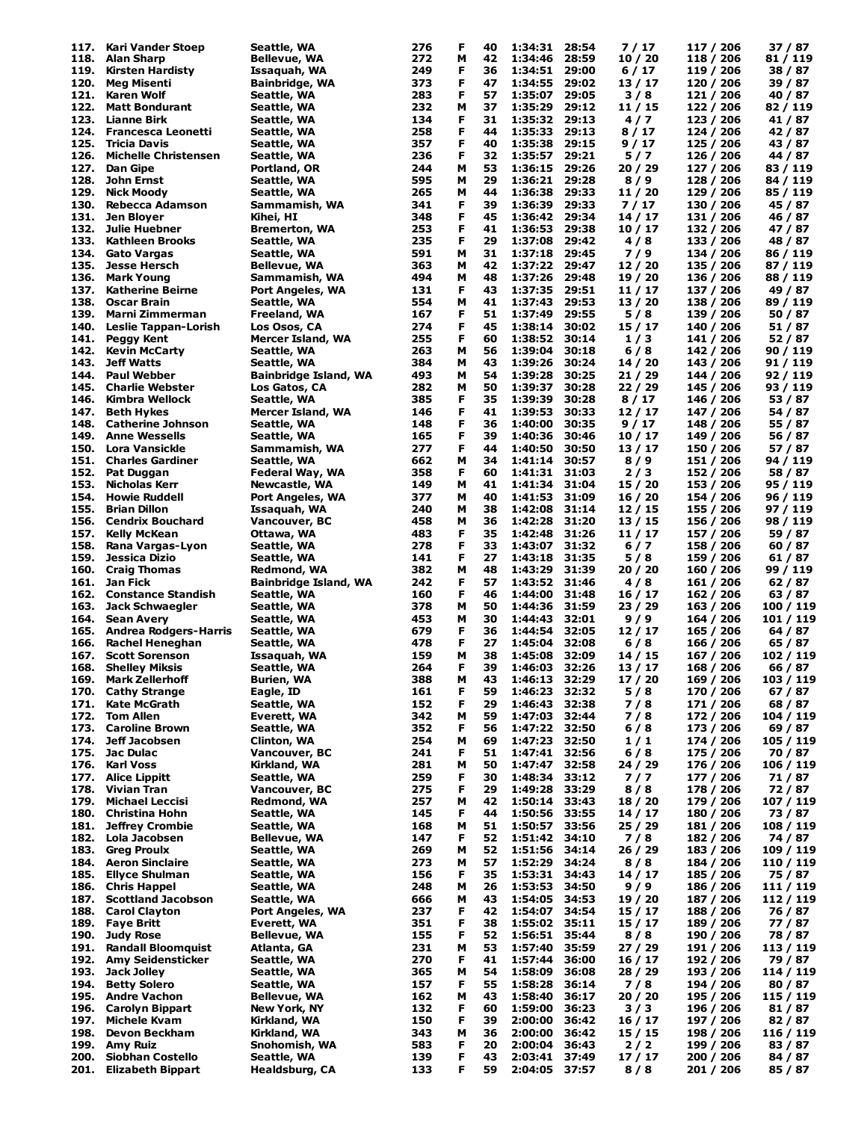| 117. | Kari Vander Stoep            | Seattle, WA           | 276 | F | 40 | 1:34:31       | 28:54 | 7/17    | 117 / 206 | 37 / 87   |
|------|------------------------------|-----------------------|-----|---|----|---------------|-------|---------|-----------|-----------|
| 118. | <b>Alan Sharp</b>            | Bellevue, WA          | 272 | м | 42 | 1:34:46       | 28:59 | 10/20   | 118 / 206 | 81 / 119  |
| 119. | <b>Kirsten Hardisty</b>      | Issaquah, WA          | 249 | F | 36 | 1:34:51       | 29:00 | 6/17    | 119 / 206 | 38 / 87   |
| 120. | Meg Misenti                  | Bainbridge, WA        | 373 | F | 47 | 1:34:55       | 29:02 | 13 / 17 | 120 / 206 | 39 / 87   |
| 121. | <b>Karen Wolf</b>            | Seattle, WA           | 283 | F | 57 | 1:35:07       | 29:05 | 3/8     | 121 / 206 | 40 / 87   |
| 122. | <b>Matt Bondurant</b>        | Seattle, WA           | 232 | М | 37 | 1:35:29       | 29:12 | 11 / 15 | 122 / 206 | 82 / 119  |
|      |                              |                       |     |   |    |               |       |         |           |           |
| 123. | Lianne Birk                  | Seattle, WA           | 134 | F | 31 | 1:35:32       | 29:13 | 4/7     | 123 / 206 | 41 / 87   |
| 124. | Francesca Leonetti           | Seattle, WA           | 258 | F | 44 | 1:35:33       | 29:13 | 8/17    | 124 / 206 | 42 / 87   |
| 125. | <b>Tricia Davis</b>          | Seattle, WA           | 357 | F | 40 | 1:35:38       | 29:15 | 9 / 17  | 125 / 206 | 43 / 87   |
| 126. | <b>Michelle Christensen</b>  | Seattle, WA           | 236 | F | 32 | 1:35:57       | 29:21 | 5/7     | 126 / 206 | 44 / 87   |
| 127. | <b>Dan Gipe</b>              | Portland, OR          | 244 | М | 53 | 1:36:15       | 29:26 | 20/29   | 127 / 206 | 83 / 119  |
|      |                              |                       |     |   |    |               |       |         |           |           |
| 128. | John Ernst                   | Seattle, WA           | 595 | м | 29 | 1:36:21       | 29:28 | 8/9     | 128 / 206 | 84 / 119  |
| 129. | <b>Nick Moody</b>            | Seattle, WA           | 265 | М | 44 | 1:36:38       | 29:33 | 11 / 20 | 129 / 206 | 85 / 119  |
| 130. | Rebecca Adamson              | Sammamish, WA         | 341 | F | 39 | 1:36:39       | 29:33 | 7/17    | 130 / 206 | 45 / 87   |
| 131. | Jen Bloyer                   | Kihei, HI             | 348 | F | 45 | 1:36:42       | 29:34 | 14 / 17 | 131 / 206 | 46 / 87   |
| 132. | <b>Julie Huebner</b>         | Bremerton, WA         | 253 | F | 41 | 1:36:53       | 29:38 | 10 / 17 | 132 / 206 | 47 / 87   |
|      |                              |                       |     |   |    |               |       |         |           |           |
| 133. | <b>Kathleen Brooks</b>       | Seattle, WA           | 235 | F | 29 | 1:37:08       | 29:42 | 4/8     | 133 / 206 | 48 / 87   |
| 134. | <b>Gato Vargas</b>           | Seattle, WA           | 591 | м | 31 | 1:37:18       | 29:45 | 7/9     | 134 / 206 | 86 / 119  |
| 135. | <b>Jesse Hersch</b>          | Bellevue, WA          | 363 | м | 42 | 1:37:22       | 29:47 | 12/20   | 135 / 206 | 87 / 119  |
| 136. | <b>Mark Young</b>            | Sammamish, WA         | 494 | М | 48 | 1:37:26       | 29:48 | 19 / 20 | 136 / 206 | 88 / 119  |
| 137. | <b>Katherine Beirne</b>      | Port Angeles, WA      | 131 | F | 43 | 1:37:35       | 29:51 | 11 / 17 | 137 / 206 | 49 / 87   |
|      |                              |                       |     |   |    |               |       |         |           |           |
| 138. | Oscar Brain                  | Seattle, WA           | 554 | М | 41 | 1:37:43       | 29:53 | 13 / 20 | 138 / 206 | 89 / 119  |
| 139. | Marni Zimmerman              | Freeland, WA          | 167 | F | 51 | 1:37:49       | 29:55 | 5/8     | 139 / 206 | 50 / 87   |
| 140. | <b>Leslie Tappan-Lorish</b>  | Los Osos, CA          | 274 | F | 45 | 1:38:14       | 30:02 | 15/17   | 140 / 206 | 51 / 87   |
| 141. | <b>Peggy Kent</b>            | Mercer Island, WA     | 255 | F | 60 | 1:38:52       | 30:14 | 1/3     | 141 / 206 | 52 / 87   |
| 142. | <b>Kevin McCarty</b>         | Seattle, WA           | 263 | м | 56 | 1:39:04       | 30:18 | 6/8     | 142 / 206 | 90 / 119  |
| 143. | <b>Jeff Watts</b>            |                       | 384 | м | 43 | 1:39:26       | 30:24 | 14/20   | 143 / 206 | 91 / 119  |
|      |                              | Seattle, WA           |     |   |    |               |       |         |           |           |
| 144. | <b>Paul Webber</b>           | Bainbridge Island, WA | 493 | м | 54 | 1:39:28       | 30:25 | 21/29   | 144 / 206 | 92 / 119  |
| 145. | <b>Charlie Webster</b>       | Los Gatos, CA         | 282 | М | 50 | 1:39:37       | 30:28 | 22/29   | 145 / 206 | 93 / 119  |
| 146. | Kimbra Wellock               | Seattle, WA           | 385 | F | 35 | 1:39:39       | 30:28 | 8/17    | 146 / 206 | 53 / 87   |
| 147. | <b>Beth Hykes</b>            | Mercer Island, WA     | 146 | F | 41 | 1:39:53       | 30:33 | 12/17   | 147 / 206 | 54 / 87   |
|      | <b>Catherine Johnson</b>     |                       |     | F |    |               | 30:35 | 9/17    | 148 / 206 |           |
| 148. |                              | Seattle, WA           | 148 |   | 36 | 1:40:00       |       |         |           | 55 / 87   |
| 149. | <b>Anne Wessells</b>         | Seattle, WA           | 165 | F | 39 | 1:40:36       | 30:46 | 10 / 17 | 149 / 206 | 56 / 87   |
| 150. | Lora Vansickle               | Sammamish, WA         | 277 | F | 44 | 1:40:50       | 30:50 | 13 / 17 | 150 / 206 | 57 / 87   |
| 151. | <b>Charles Gardiner</b>      | Seattle, WA           | 662 | м | 34 | 1:41:14       | 30:57 | 8/9     | 151 / 206 | 94 / 119  |
| 152. | Pat Duggan                   | Federal Way, WA       | 358 | F | 60 | 1:41:31       | 31:03 | 2/3     | 152 / 206 | 58 / 87   |
|      |                              |                       |     |   |    |               |       |         |           |           |
| 153. | <b>Nicholas Kerr</b>         | Newcastle, WA         | 149 | М | 41 | 1:41:34       | 31:04 | 15 / 20 | 153 / 206 | 95 / 119  |
| 154. | <b>Howie Ruddell</b>         | Port Angeles, WA      | 377 | М | 40 | 1:41:53       | 31:09 | 16/20   | 154 / 206 | 96 / 119  |
| 155. | <b>Brian Dillon</b>          | Issaquah, WA          | 240 | М | 38 | 1:42:08       | 31:14 | 12 / 15 | 155 / 206 | 97 / 119  |
| 156. | <b>Cendrix Bouchard</b>      | Vancouver, BC         | 458 | М | 36 | 1:42:28       | 31:20 | 13 / 15 | 156 / 206 | 98 / 119  |
| 157. | Kelly McKean                 | Ottawa, WA            | 483 | F | 35 | 1:42:48       | 31:26 | 11 / 17 | 157 / 206 | 59 / 87   |
| 158. | Rana Vargas-Lyon             | Seattle, WA           | 278 | F | 33 | 1:43:07       | 31:32 | 6/7     | 158 / 206 | 60 / 87   |
|      |                              |                       |     |   |    |               |       |         |           |           |
| 159. | Jessica Dizio                | Seattle, WA           | 141 | F | 27 | 1:43:18       | 31:35 | 5/8     | 159 / 206 | 61 / 87   |
| 160. | <b>Craig Thomas</b>          | Redmond, WA           | 382 | М | 48 | 1:43:29       | 31:39 | 20/20   | 160 / 206 | 99 / 119  |
| 161. | Jan Fick                     | Bainbridge Island, WA | 242 | F | 57 | 1:43:52       | 31:46 | 4/8     | 161 / 206 | 62 / 87   |
| 162. | <b>Constance Standish</b>    | Seattle, WA           | 160 | F | 46 | 1:44:00       | 31:48 | 16 / 17 | 162 / 206 | 63 / 87   |
| 163. | Jack Schwaegler              | Seattle, WA           | 378 | м | 50 | 1:44:36       | 31:59 | 23/29   | 163 / 206 | 100 / 119 |
|      |                              |                       |     |   |    |               |       |         |           |           |
| 164. | <b>Sean Avery</b>            | Seattle, WA           | 453 | М | 30 | 1:44:43       | 32:01 | 9 / 9   | 164 / 206 | 101 / 119 |
| 165. | <b>Andrea Rodgers-Harris</b> | Seattle, WA           | 679 | F | 36 | 1:44:54       | 32:05 | 12/17   | 165 / 206 | 64 / 87   |
| 166. | Rachel Heneghan              | Seattle, WA           | 478 | F | 27 | 1:45:04       | 32:08 | 6/8     | 166 / 206 | 65 / 87   |
| 167. | <b>Scott Sorenson</b>        | Issaquah, WA          | 159 | м | 38 | 1:45:08       | 32:09 | 14 / 15 | 167 / 206 | 102 / 119 |
|      | 168. Shelley Miksis          | Seattle, WA           | 264 | F | 39 | 1:46:03 32:26 |       | 13/17   | 168 / 206 | 66 / 87   |
|      |                              |                       |     |   |    |               |       |         |           |           |
| 169. | <b>Mark Zellerhoff</b>       | Burien, WA            | 388 | M | 43 | 1:46:13       | 32:29 | 17 / 20 | 169 / 206 | 103 / 119 |
| 170. | <b>Cathy Strange</b>         | Eagle, ID             | 161 | F | 59 | 1:46:23       | 32:32 | 5/8     | 170 / 206 | 67 / 87   |
| 171. | <b>Kate McGrath</b>          | Seattle, WA           | 152 | F | 29 | 1:46:43       | 32:38 | 7/8     | 171 / 206 | 68 / 87   |
| 172. | <b>Tom Allen</b>             | Everett, WA           | 342 | М | 59 | 1:47:03       | 32:44 | 7/8     | 172 / 206 | 104 / 119 |
| 173. | <b>Caroline Brown</b>        | Seattle, WA           | 352 | F | 56 | 1:47:22       | 32:50 | 6/8     | 173 / 206 | 69 / 87   |
| 174. | Jeff Jacobsen                |                       | 254 | М | 69 | 1:47:23       | 32:50 | 1/1     | 174 / 206 | 105 / 119 |
|      |                              | Clinton, WA           |     |   |    |               |       |         |           |           |
| 175. | Jac Dulac                    | Vancouver, BC         | 241 | F | 51 | 1:47:41       | 32:56 | 6/8     | 175 / 206 | 70 / 87   |
| 176. | <b>Karl Voss</b>             | Kirkland, WA          | 281 | М | 50 | 1:47:47       | 32:58 | 24 / 29 | 176 / 206 | 106 / 119 |
| 177. | <b>Alice Lippitt</b>         | Seattle, WA           | 259 | F | 30 | 1:48:34       | 33:12 | 7/7     | 177 / 206 | 71 / 87   |
| 178. | Vivian Tran                  | Vancouver, BC         | 275 | F | 29 | 1:49:28       | 33:29 | 8/8     | 178 / 206 | 72 / 87   |
| 179. | <b>Michael Leccisi</b>       | Redmond, WA           | 257 | М | 42 | 1:50:14       | 33:43 | 18 / 20 | 179 / 206 | 107 / 119 |
|      |                              |                       |     | F |    |               |       |         |           |           |
| 180. | Christina Hohn               | Seattle, WA           | 145 |   | 44 | 1:50:56       | 33:55 | 14 / 17 | 180 / 206 | 73 / 87   |
| 181. | <b>Jeffrey Crombie</b>       | Seattle, WA           | 168 | М | 51 | 1:50:57       | 33:56 | 25/29   | 181 / 206 | 108 / 119 |
| 182. | Lola Jacobsen                | <b>Bellevue, WA</b>   | 147 | F | 52 | 1:51:42       | 34:10 | 7/8     | 182 / 206 | 74 / 87   |
| 183. | <b>Greg Proulx</b>           | Seattle, WA           | 269 | м | 52 | 1:51:56       | 34:14 | 26/29   | 183 / 206 | 109 / 119 |
| 184. | <b>Aeron Sinclaire</b>       | Seattle, WA           | 273 | м | 57 | 1:52:29       | 34:24 | 8/8     | 184 / 206 | 110 / 119 |
| 185. | <b>Ellyce Shulman</b>        |                       | 156 | F | 35 | 1:53:31       | 34:43 |         | 185 / 206 |           |
|      |                              | Seattle, WA           |     |   |    |               |       | 14/17   |           | 75 / 87   |
| 186. | <b>Chris Happel</b>          | Seattle, WA           | 248 | М | 26 | 1:53:53       | 34:50 | 9/9     | 186 / 206 | 111 / 119 |
| 187. | <b>Scottland Jacobson</b>    | Seattle, WA           | 666 | М | 43 | 1:54:05       | 34:53 | 19 / 20 | 187 / 206 | 112 / 119 |
| 188. | <b>Carol Clayton</b>         | Port Angeles, WA      | 237 | F | 42 | 1:54:07       | 34:54 | 15 / 17 | 188 / 206 | 76 / 87   |
| 189. | <b>Faye Britt</b>            | Everett, WA           | 351 | F | 38 | 1:55:02       | 35:11 | 15 / 17 | 189 / 206 | 77 / 87   |
|      | <b>Judy Rose</b>             |                       |     | F | 52 |               |       |         | 190 / 206 |           |
| 190. |                              | Bellevue, WA          | 155 |   |    | 1:56:51       | 35:44 | 8/8     |           | 78 / 87   |
| 191. | <b>Randall Bloomquist</b>    | Atlanta, GA           | 231 | м | 53 | 1:57:40       | 35:59 | 27/29   | 191 / 206 | 113 / 119 |
| 192. | <b>Amy Seidensticker</b>     | Seattle, WA           | 270 | F | 41 | 1:57:44       | 36:00 | 16 / 17 | 192 / 206 | 79 / 87   |
| 193. | Jack Jolley                  | Seattle, WA           | 365 | М | 54 | 1:58:09       | 36:08 | 28 / 29 | 193 / 206 | 114 / 119 |
| 194. | <b>Betty Solero</b>          | Seattle, WA           | 157 | F | 55 | 1:58:28       | 36:14 | 7/8     | 194 / 206 | 80 / 87   |
| 195. | <b>Andre Vachon</b>          | Bellevue, WA          | 162 | м | 43 | 1:58:40       | 36:17 | 20/20   | 195 / 206 |           |
|      |                              |                       |     |   |    |               |       |         |           | 115 / 119 |
| 196. | <b>Carolyn Bippart</b>       | New York, NY          | 132 | F | 60 | 1:59:00       | 36:23 | 3/3     | 196 / 206 | 81/87     |
| 197. | Michele Kvam                 | Kirkland, WA          | 150 | F | 39 | 2:00:00       | 36:42 | 16/17   | 197 / 206 | 82 / 87   |
| 198. | Devon Beckham                | Kirkland, WA          | 343 | м | 36 | 2:00:00       | 36:42 | 15 / 15 | 198 / 206 | 116 / 119 |
| 199. | <b>Amy Ruiz</b>              | Snohomish, WA         | 583 | F | 20 | 2:00:04       | 36:43 | 2/2     | 199 / 206 | 83 / 87   |
| 200. |                              |                       |     |   |    |               |       |         |           |           |
|      | Siobhan Costello             | Seattle, WA           | 139 | F | 43 | 2:03:41       | 37:49 | 17/17   | 200 / 206 | 84/87     |
|      | 201. Elizabeth Bippart       | Healdsburg, CA        | 133 | F | 59 | 2:04:05 37:57 |       | 8/8     | 201 / 206 | 85 / 87   |